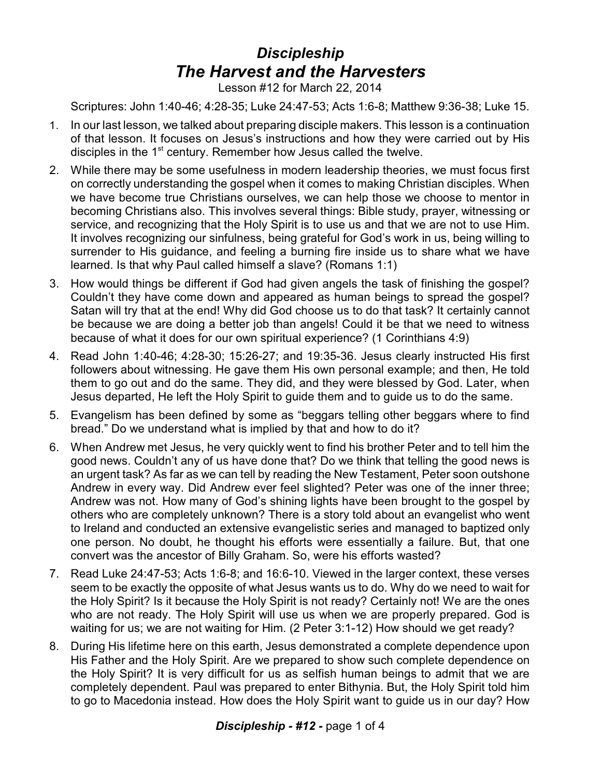## *Discipleship The Harvest and the Harvesters*

Lesson #12 for March 22, 2014

Scriptures: John 1:40-46; 4:28-35; Luke 24:47-53; Acts 1:6-8; Matthew 9:36-38; Luke 15.

- 1. In our last lesson, we talked about preparing disciple makers. This lesson is a continuation of that lesson. It focuses on Jesus's instructions and how they were carried out by His disciples in the  $1<sup>st</sup>$  century. Remember how Jesus called the twelve.
- 2. While there may be some usefulness in modern leadership theories, we must focus first on correctly understanding the gospel when it comes to making Christian disciples. When we have become true Christians ourselves, we can help those we choose to mentor in becoming Christians also. This involves several things: Bible study, prayer, witnessing or service, and recognizing that the Holy Spirit is to use us and that we are not to use Him. It involves recognizing our sinfulness, being grateful for God's work in us, being willing to surrender to His guidance, and feeling a burning fire inside us to share what we have learned. Is that why Paul called himself a slave? (Romans 1:1)
- 3. How would things be different if God had given angels the task of finishing the gospel? Couldn't they have come down and appeared as human beings to spread the gospel? Satan will try that at the end! Why did God choose us to do that task? It certainly cannot be because we are doing a better job than angels! Could it be that we need to witness because of what it does for our own spiritual experience? (1 Corinthians 4:9)
- 4. Read John 1:40-46; 4:28-30; 15:26-27; and 19:35-36. Jesus clearly instructed His first followers about witnessing. He gave them His own personal example; and then, He told them to go out and do the same. They did, and they were blessed by God. Later, when Jesus departed, He left the Holy Spirit to guide them and to guide us to do the same.
- 5. Evangelism has been defined by some as "beggars telling other beggars where to find bread." Do we understand what is implied by that and how to do it?
- 6. When Andrew met Jesus, he very quickly went to find his brother Peter and to tell him the good news. Couldn't any of us have done that? Do we think that telling the good news is an urgent task? As far as we can tell by reading the New Testament, Peter soon outshone Andrew in every way. Did Andrew ever feel slighted? Peter was one of the inner three; Andrew was not. How many of God's shining lights have been brought to the gospel by others who are completely unknown? There is a story told about an evangelist who went to Ireland and conducted an extensive evangelistic series and managed to baptized only one person. No doubt, he thought his efforts were essentially a failure. But, that one convert was the ancestor of Billy Graham. So, were his efforts wasted?
- 7. Read Luke 24:47-53; Acts 1:6-8; and 16:6-10. Viewed in the larger context, these verses seem to be exactly the opposite of what Jesus wants us to do. Why do we need to wait for the Holy Spirit? Is it because the Holy Spirit is not ready? Certainly not! We are the ones who are not ready. The Holy Spirit will use us when we are properly prepared. God is waiting for us; we are not waiting for Him. (2 Peter 3:1-12) How should we get ready?
- 8. During His lifetime here on this earth, Jesus demonstrated a complete dependence upon His Father and the Holy Spirit. Are we prepared to show such complete dependence on the Holy Spirit? It is very difficult for us as selfish human beings to admit that we are completely dependent. Paul was prepared to enter Bithynia. But, the Holy Spirit told him to go to Macedonia instead. How does the Holy Spirit want to guide us in our day? How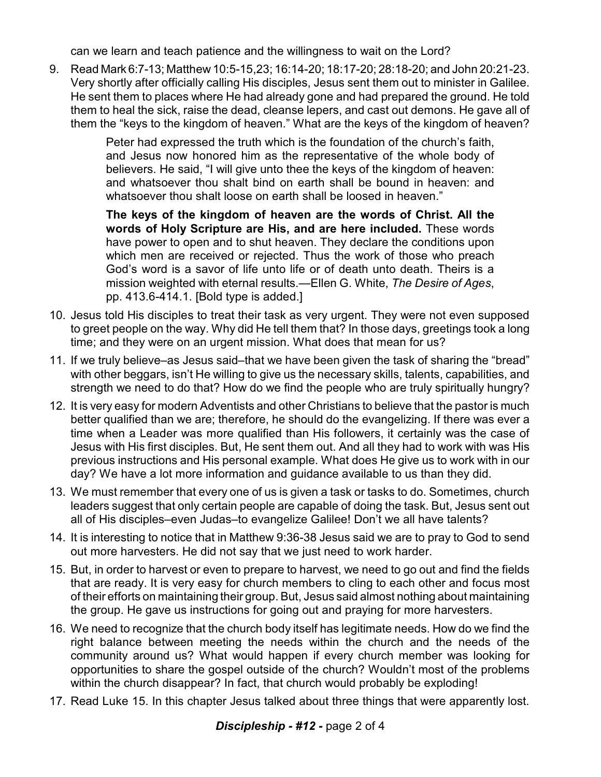can we learn and teach patience and the willingness to wait on the Lord?

9. Read Mark 6:7-13; Matthew 10:5-15,23; 16:14-20; 18:17-20; 28:18-20; and John 20:21-23. Very shortly after officially calling His disciples, Jesus sent them out to minister in Galilee. He sent them to places where He had already gone and had prepared the ground. He told them to heal the sick, raise the dead, cleanse lepers, and cast out demons. He gave all of them the "keys to the kingdom of heaven." What are the keys of the kingdom of heaven?

> Peter had expressed the truth which is the foundation of the church's faith, and Jesus now honored him as the representative of the whole body of believers. He said, "I will give unto thee the keys of the kingdom of heaven: and whatsoever thou shalt bind on earth shall be bound in heaven: and whatsoever thou shalt loose on earth shall be loosed in heaven."

> **The keys of the kingdom of heaven are the words of Christ. All the words of Holy Scripture are His, and are here included.** These words have power to open and to shut heaven. They declare the conditions upon which men are received or rejected. Thus the work of those who preach God's word is a savor of life unto life or of death unto death. Theirs is a mission weighted with eternal results.—Ellen G. White, *The Desire of Ages*, pp. 413.6-414.1. [Bold type is added.]

- 10. Jesus told His disciples to treat their task as very urgent. They were not even supposed to greet people on the way. Why did He tell them that? In those days, greetings took a long time; and they were on an urgent mission. What does that mean for us?
- 11. If we truly believe–as Jesus said–that we have been given the task of sharing the "bread" with other beggars, isn't He willing to give us the necessary skills, talents, capabilities, and strength we need to do that? How do we find the people who are truly spiritually hungry?
- 12. It is very easy for modern Adventists and other Christians to believe that the pastor is much better qualified than we are; therefore, he should do the evangelizing. If there was ever a time when a Leader was more qualified than His followers, it certainly was the case of Jesus with His first disciples. But, He sent them out. And all they had to work with was His previous instructions and His personal example. What does He give us to work with in our day? We have a lot more information and guidance available to us than they did.
- 13. We must remember that every one of us is given a task or tasks to do. Sometimes, church leaders suggest that only certain people are capable of doing the task. But, Jesus sent out all of His disciples–even Judas–to evangelize Galilee! Don't we all have talents?
- 14. It is interesting to notice that in Matthew 9:36-38 Jesus said we are to pray to God to send out more harvesters. He did not say that we just need to work harder.
- 15. But, in order to harvest or even to prepare to harvest, we need to go out and find the fields that are ready. It is very easy for church members to cling to each other and focus most of their efforts on maintaining their group. But, Jesus said almost nothing about maintaining the group. He gave us instructions for going out and praying for more harvesters.
- 16. We need to recognize that the church body itself has legitimate needs. How do we find the right balance between meeting the needs within the church and the needs of the community around us? What would happen if every church member was looking for opportunities to share the gospel outside of the church? Wouldn't most of the problems within the church disappear? In fact, that church would probably be exploding!
- 17. Read Luke 15. In this chapter Jesus talked about three things that were apparently lost.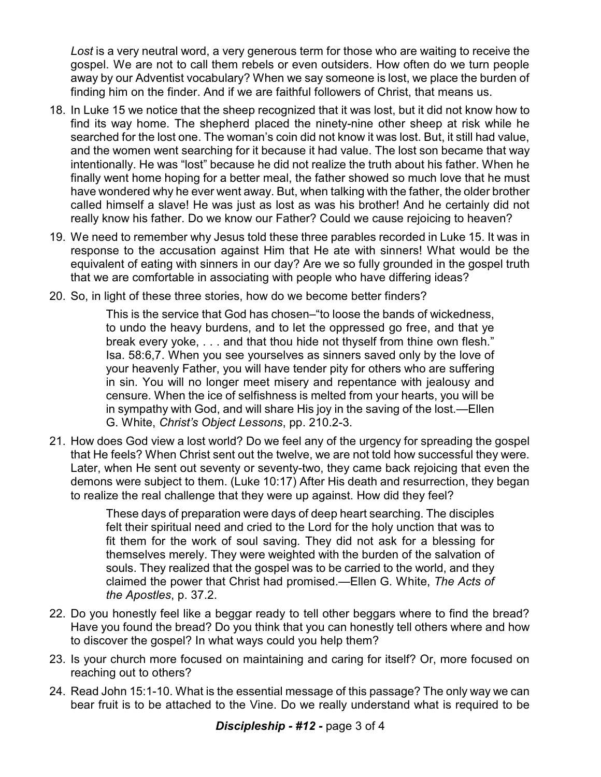*Lost* is a very neutral word, a very generous term for those who are waiting to receive the gospel. We are not to call them rebels or even outsiders. How often do we turn people away by our Adventist vocabulary? When we say someone is lost, we place the burden of finding him on the finder. And if we are faithful followers of Christ, that means us.

- 18. In Luke 15 we notice that the sheep recognized that it was lost, but it did not know how to find its way home. The shepherd placed the ninety-nine other sheep at risk while he searched for the lost one. The woman's coin did not know it was lost. But, it still had value, and the women went searching for it because it had value. The lost son became that way intentionally. He was "lost" because he did not realize the truth about his father. When he finally went home hoping for a better meal, the father showed so much love that he must have wondered why he ever went away. But, when talking with the father, the older brother called himself a slave! He was just as lost as was his brother! And he certainly did not really know his father. Do we know our Father? Could we cause rejoicing to heaven?
- 19. We need to remember why Jesus told these three parables recorded in Luke 15. It was in response to the accusation against Him that He ate with sinners! What would be the equivalent of eating with sinners in our day? Are we so fully grounded in the gospel truth that we are comfortable in associating with people who have differing ideas?
- 20. So, in light of these three stories, how do we become better finders?

This is the service that God has chosen–"to loose the bands of wickedness, to undo the heavy burdens, and to let the oppressed go free, and that ye break every yoke, . . . and that thou hide not thyself from thine own flesh." Isa. 58:6,7. When you see yourselves as sinners saved only by the love of your heavenly Father, you will have tender pity for others who are suffering in sin. You will no longer meet misery and repentance with jealousy and censure. When the ice of selfishness is melted from your hearts, you will be in sympathy with God, and will share His joy in the saving of the lost.—Ellen G. White, *Christ's Object Lessons*, pp. 210.2-3.

21. How does God view a lost world? Do we feel any of the urgency for spreading the gospel that He feels? When Christ sent out the twelve, we are not told how successful they were. Later, when He sent out seventy or seventy-two, they came back rejoicing that even the demons were subject to them. (Luke 10:17) After His death and resurrection, they began to realize the real challenge that they were up against. How did they feel?

> These days of preparation were days of deep heart searching. The disciples felt their spiritual need and cried to the Lord for the holy unction that was to fit them for the work of soul saving. They did not ask for a blessing for themselves merely. They were weighted with the burden of the salvation of souls. They realized that the gospel was to be carried to the world, and they claimed the power that Christ had promised.—Ellen G. White, *The Acts of the Apostles*, p. 37.2.

- 22. Do you honestly feel like a beggar ready to tell other beggars where to find the bread? Have you found the bread? Do you think that you can honestly tell others where and how to discover the gospel? In what ways could you help them?
- 23. Is your church more focused on maintaining and caring for itself? Or, more focused on reaching out to others?
- 24. Read John 15:1-10. What is the essential message of this passage? The only way we can bear fruit is to be attached to the Vine. Do we really understand what is required to be